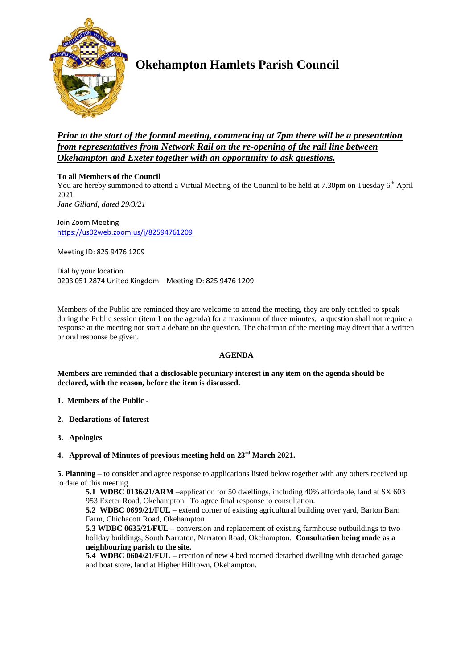

# **Okehampton Hamlets Parish Council**

## *Prior to the start of the formal meeting, commencing at 7pm there will be a presentation from representatives from Network Rail on the re-opening of the rail line between Okehampton and Exeter together with an opportunity to ask questions.*

## **To all Members of the Council**

You are hereby summoned to attend a Virtual Meeting of the Council to be held at 7.30pm on Tuesday 6<sup>th</sup> April 2021 *Jane Gillard, dated 29/3/21*

Join Zoom Meeting <https://us02web.zoom.us/j/82594761209>

Meeting ID: 825 9476 1209

Dial by your location 0203 051 2874 United Kingdom Meeting ID: 825 9476 1209

Members of the Public are reminded they are welcome to attend the meeting, they are only entitled to speak during the Public session (item 1 on the agenda) for a maximum of three minutes, a question shall not require a response at the meeting nor start a debate on the question. The chairman of the meeting may direct that a written or oral response be given.

## **AGENDA**

**Members are reminded that a disclosable pecuniary interest in any item on the agenda should be declared, with the reason, before the item is discussed.** 

- **1. Members of the Public -**
- **2. Declarations of Interest**
- **3. Apologies**

## **4. Approval of Minutes of previous meeting held on 23rd March 2021.**

**5. Planning –** to consider and agree response to applications listed below together with any others received up to date of this meeting.

**5.1 WDBC 0136/21/ARM** –application for 50 dwellings, including 40% affordable, land at SX 603 953 Exeter Road, Okehampton. To agree final response to consultation.

**5.2 WDBC 0699/21/FUL** – extend corner of existing agricultural building over yard, Barton Barn Farm, Chichacott Road, Okehampton

**5.3 WDBC 0635/21/FUL** – conversion and replacement of existing farmhouse outbuildings to two holiday buildings, South Narraton, Narraton Road, Okehampton. **Consultation being made as a neighbouring parish to the site.**

**5.4 WDBC 0604/21/FUL –** erection of new 4 bed roomed detached dwelling with detached garage and boat store, land at Higher Hilltown, Okehampton.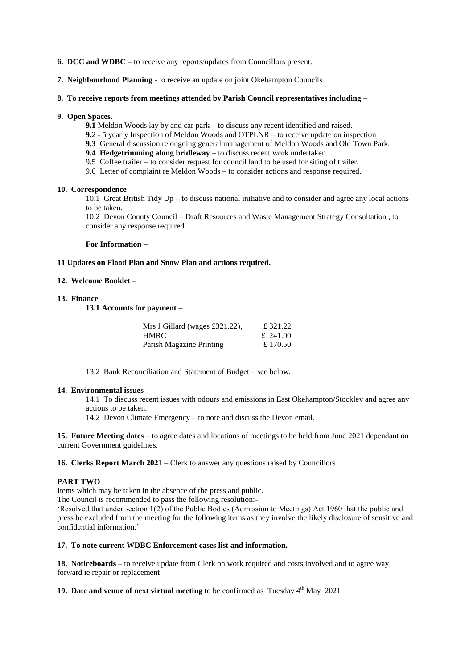- **6. DCC and WDBC –** to receive any reports/updates from Councillors present.
- **7. Neighbourhood Planning** to receive an update on joint Okehampton Councils
- **8. To receive reports from meetings attended by Parish Council representatives including** –

### **9. Open Spaces.**

- **9.1** Meldon Woods lay by and car park to discuss any recent identified and raised.
- **9.**2 5 yearly Inspection of Meldon Woods and OTPLNR to receive update on inspection
- **9.3** General discussion re ongoing general management of Meldon Woods and Old Town Park.
- **9.4 Hedgetrimming along bridleway –** to discuss recent work undertaken.
- 9.5 Coffee trailer to consider request for council land to be used for siting of trailer.
- 9.6 Letter of complaint re Meldon Woods to consider actions and response required.

#### **10. Correspondence**

10.1 Great British Tidy Up – to discuss national initiative and to consider and agree any local actions to be taken.

10.2 Devon County Council – Draft Resources and Waste Management Strategy Consultation , to consider any response required.

#### **For Information –**

#### **11 Updates on Flood Plan and Snow Plan and actions required.**

#### **12. Welcome Booklet –**

#### **13. Finance** –

**13.1 Accounts for payment –**

| Mrs J Gillard (wages £321.22), | £ 321.22 |
|--------------------------------|----------|
| HMRC.                          | £ 241.00 |
| Parish Magazine Printing       | £170.50  |

13.2 Bank Reconciliation and Statement of Budget – see below.

#### **14. Environmental issues**

14.1 To discuss recent issues with odours and emissions in East Okehampton/Stockley and agree any actions to be taken.

14.2 Devon Climate Emergency – to note and discuss the Devon email.

**15. Future Meeting dates** – to agree dates and locations of meetings to be held from June 2021 dependant on current Government guidelines.

**16. Clerks Report March 2021** – Clerk to answer any questions raised by Councillors

#### **PART TWO**

Items which may be taken in the absence of the press and public.

The Council is recommended to pass the following resolution:-

'Resolved that under section 1(2) of the Public Bodies (Admission to Meetings) Act 1960 that the public and press be excluded from the meeting for the following items as they involve the likely disclosure of sensitive and confidential information.'

## **17. To note current WDBC Enforcement cases list and information.**

**18. Noticeboards –** to receive update from Clerk on work required and costs involved and to agree way forward ie repair or replacement

**19. Date and venue of next virtual meeting** to be confirmed as Tuesday 4<sup>th</sup> May 2021